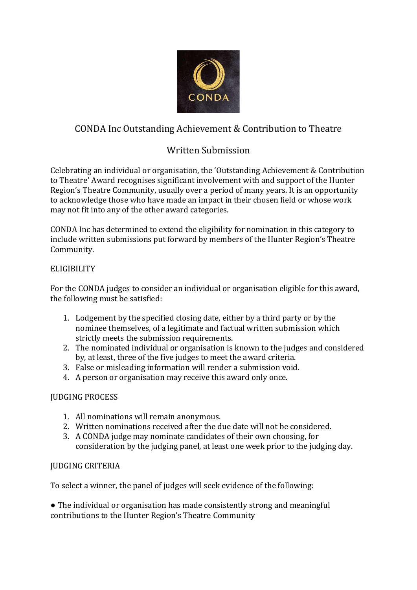

# CONDA Inc Outstanding Achievement & Contribution to Theatre

## Written Submission

Celebrating an individual or organisation, the 'Outstanding Achievement & Contribution to Theatre' Award recognises significant involvement with and support of the Hunter Region's Theatre Community, usually over a period of many years. It is an opportunity to acknowledge those who have made an impact in their chosen field or whose work may not fit into any of the other award categories.

CONDA Inc has determined to extend the eligibility for nomination in this category to include written submissions put forward by members of the Hunter Region's Theatre Community.

### **ELIGIBILITY**

For the CONDA judges to consider an individual or organisation eligible for this award, the following must be satisfied:

- 1. Lodgement by the specified closing date, either by a third party or by the nominee themselves, of a legitimate and factual written submission which strictly meets the submission requirements.
- 2. The nominated individual or organisation is known to the judges and considered by, at least, three of the five judges to meet the award criteria.
- 3. False or misleading information will render a submission void.
- 4. A person or organisation may receive this award only once.

## JUDGING PROCESS

- 1. All nominations will remain anonymous.
- 2. Written nominations received after the due date will not be considered.
- 3. A CONDA judge may nominate candidates of their own choosing, for consideration by the judging panel, at least one week prior to the judging day.

#### JUDGING CRITERIA

To select a winner, the panel of judges will seek evidence of the following:

• The individual or organisation has made consistently strong and meaningful contributions to the Hunter Region's Theatre Community